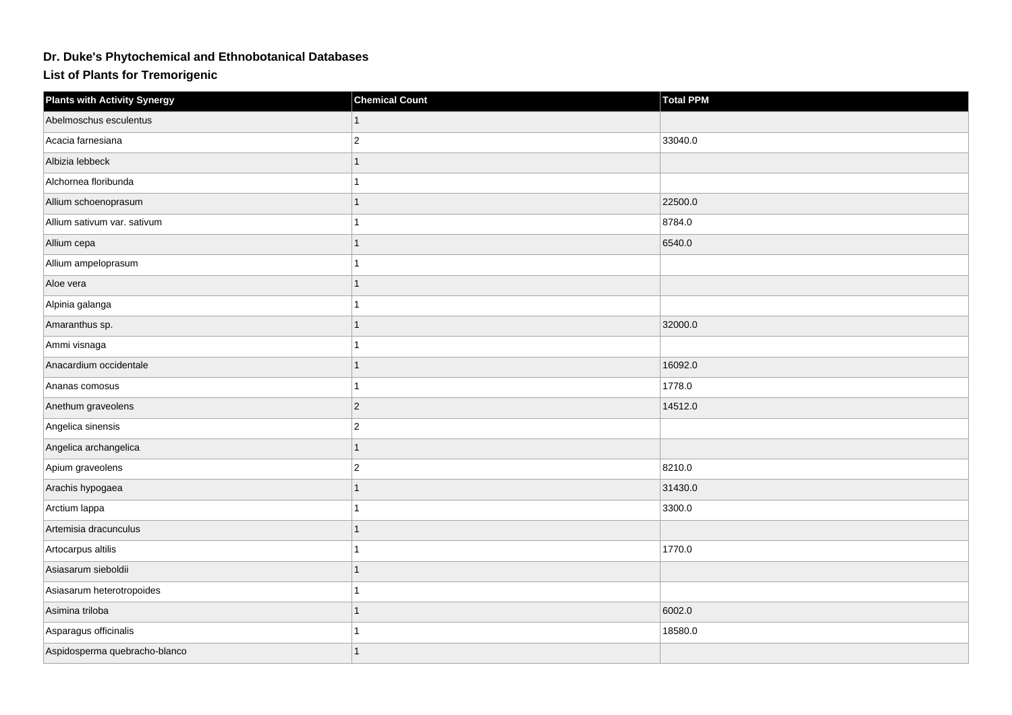## **Dr. Duke's Phytochemical and Ethnobotanical Databases**

**List of Plants for Tremorigenic**

| <b>Plants with Activity Synergy</b> | <b>Chemical Count</b> | <b>Total PPM</b> |
|-------------------------------------|-----------------------|------------------|
| Abelmoschus esculentus              |                       |                  |
| Acacia farnesiana                   | $\overline{2}$        | 33040.0          |
| Albizia lebbeck                     | 1                     |                  |
| Alchornea floribunda                |                       |                  |
| Allium schoenoprasum                |                       | 22500.0          |
| Allium sativum var. sativum         |                       | 8784.0           |
| Allium cepa                         |                       | 6540.0           |
| Allium ampeloprasum                 |                       |                  |
| Aloe vera                           | 1                     |                  |
| Alpinia galanga                     |                       |                  |
| Amaranthus sp.                      |                       | 32000.0          |
| Ammi visnaga                        |                       |                  |
| Anacardium occidentale              |                       | 16092.0          |
| Ananas comosus                      |                       | 1778.0           |
| Anethum graveolens                  | $\overline{2}$        | 14512.0          |
| Angelica sinensis                   | $\overline{c}$        |                  |
| Angelica archangelica               |                       |                  |
| Apium graveolens                    | $\overline{2}$        | 8210.0           |
| Arachis hypogaea                    |                       | 31430.0          |
| Arctium lappa                       |                       | 3300.0           |
| Artemisia dracunculus               |                       |                  |
| Artocarpus altilis                  |                       | 1770.0           |
| Asiasarum sieboldii                 |                       |                  |
| Asiasarum heterotropoides           |                       |                  |
| Asimina triloba                     |                       | 6002.0           |
| Asparagus officinalis               |                       | 18580.0          |
| Aspidosperma quebracho-blanco       | 1                     |                  |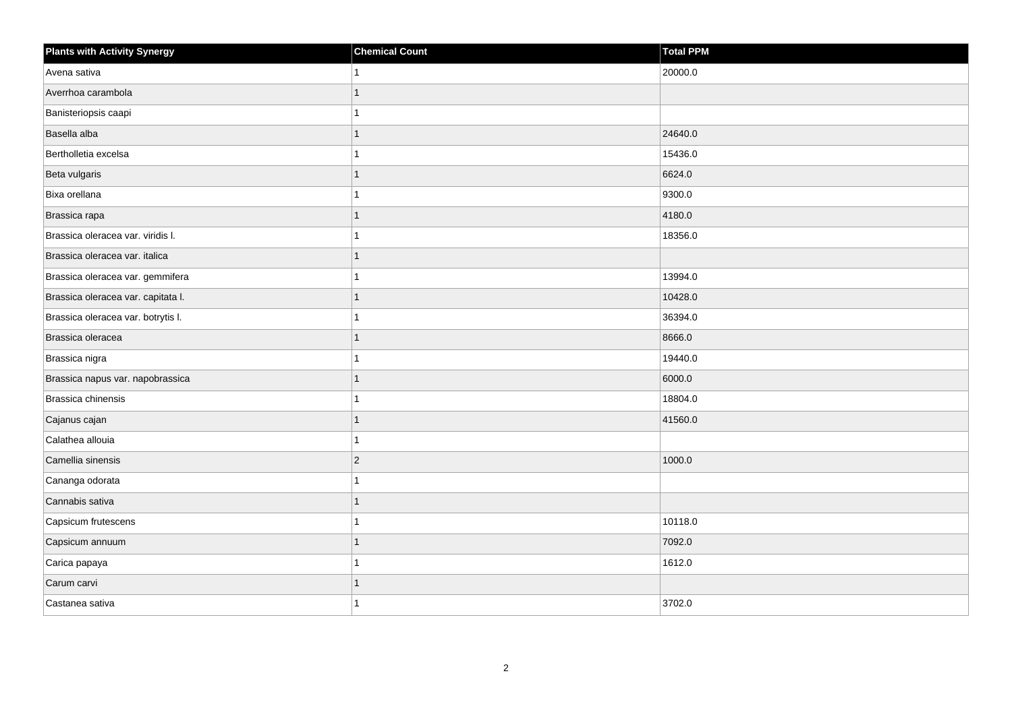| <b>Plants with Activity Synergy</b> | <b>Chemical Count</b> | <b>Total PPM</b> |
|-------------------------------------|-----------------------|------------------|
| Avena sativa                        |                       | 20000.0          |
| Averrhoa carambola                  |                       |                  |
| Banisteriopsis caapi                |                       |                  |
| Basella alba                        |                       | 24640.0          |
| Bertholletia excelsa                |                       | 15436.0          |
| Beta vulgaris                       |                       | 6624.0           |
| Bixa orellana                       |                       | 9300.0           |
| Brassica rapa                       |                       | 4180.0           |
| Brassica oleracea var. viridis I.   |                       | 18356.0          |
| Brassica oleracea var. italica      |                       |                  |
| Brassica oleracea var. gemmifera    |                       | 13994.0          |
| Brassica oleracea var. capitata I.  |                       | 10428.0          |
| Brassica oleracea var. botrytis I.  |                       | 36394.0          |
| Brassica oleracea                   |                       | 8666.0           |
| Brassica nigra                      |                       | 19440.0          |
| Brassica napus var. napobrassica    |                       | 6000.0           |
| Brassica chinensis                  |                       | 18804.0          |
| Cajanus cajan                       |                       | 41560.0          |
| Calathea allouia                    |                       |                  |
| Camellia sinensis                   | $\overline{a}$        | 1000.0           |
| Cananga odorata                     |                       |                  |
| Cannabis sativa                     | 1                     |                  |
| Capsicum frutescens                 |                       | 10118.0          |
| Capsicum annuum                     |                       | 7092.0           |
| Carica papaya                       |                       | 1612.0           |
| Carum carvi                         |                       |                  |
| Castanea sativa                     |                       | 3702.0           |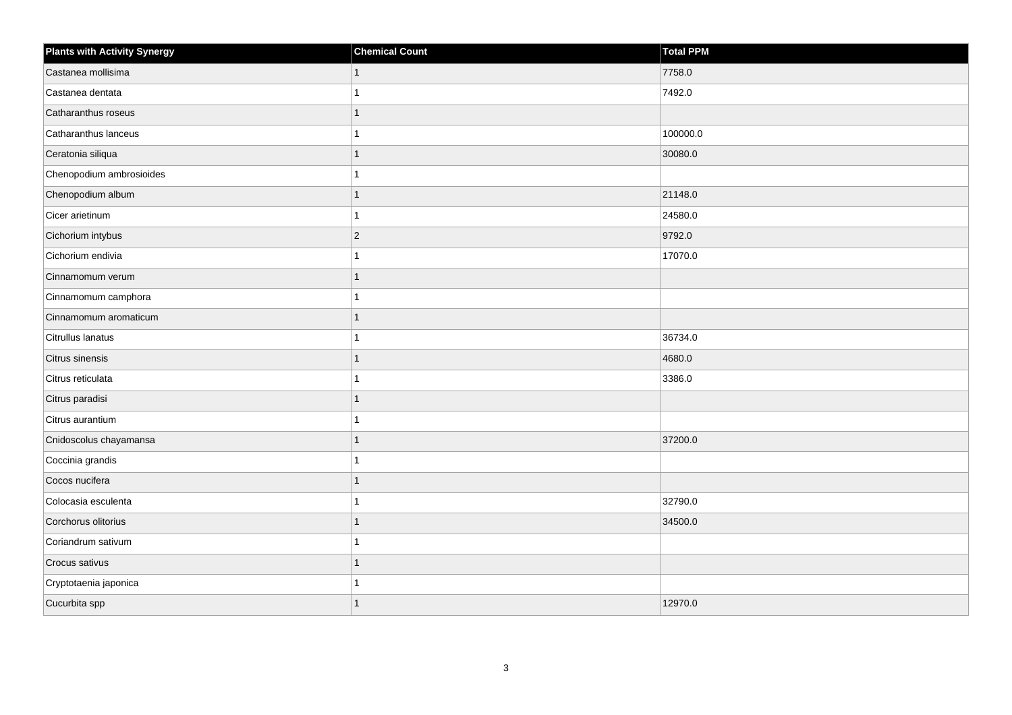| <b>Plants with Activity Synergy</b> | <b>Chemical Count</b> | Total PPM |
|-------------------------------------|-----------------------|-----------|
| Castanea mollisima                  |                       | 7758.0    |
| Castanea dentata                    |                       | 7492.0    |
| Catharanthus roseus                 |                       |           |
| Catharanthus lanceus                |                       | 100000.0  |
| Ceratonia siliqua                   |                       | 30080.0   |
| Chenopodium ambrosioides            |                       |           |
| Chenopodium album                   |                       | 21148.0   |
| Cicer arietinum                     |                       | 24580.0   |
| Cichorium intybus                   | $\overline{2}$        | 9792.0    |
| Cichorium endivia                   |                       | 17070.0   |
| Cinnamomum verum                    |                       |           |
| Cinnamomum camphora                 |                       |           |
| Cinnamomum aromaticum               |                       |           |
| Citrullus lanatus                   |                       | 36734.0   |
| Citrus sinensis                     |                       | 4680.0    |
| Citrus reticulata                   |                       | 3386.0    |
| Citrus paradisi                     |                       |           |
| Citrus aurantium                    |                       |           |
| Cnidoscolus chayamansa              |                       | 37200.0   |
| Coccinia grandis                    |                       |           |
| Cocos nucifera                      |                       |           |
| Colocasia esculenta                 |                       | 32790.0   |
| Corchorus olitorius                 |                       | 34500.0   |
| Coriandrum sativum                  |                       |           |
| Crocus sativus                      | 1                     |           |
| Cryptotaenia japonica               |                       |           |
| Cucurbita spp                       |                       | 12970.0   |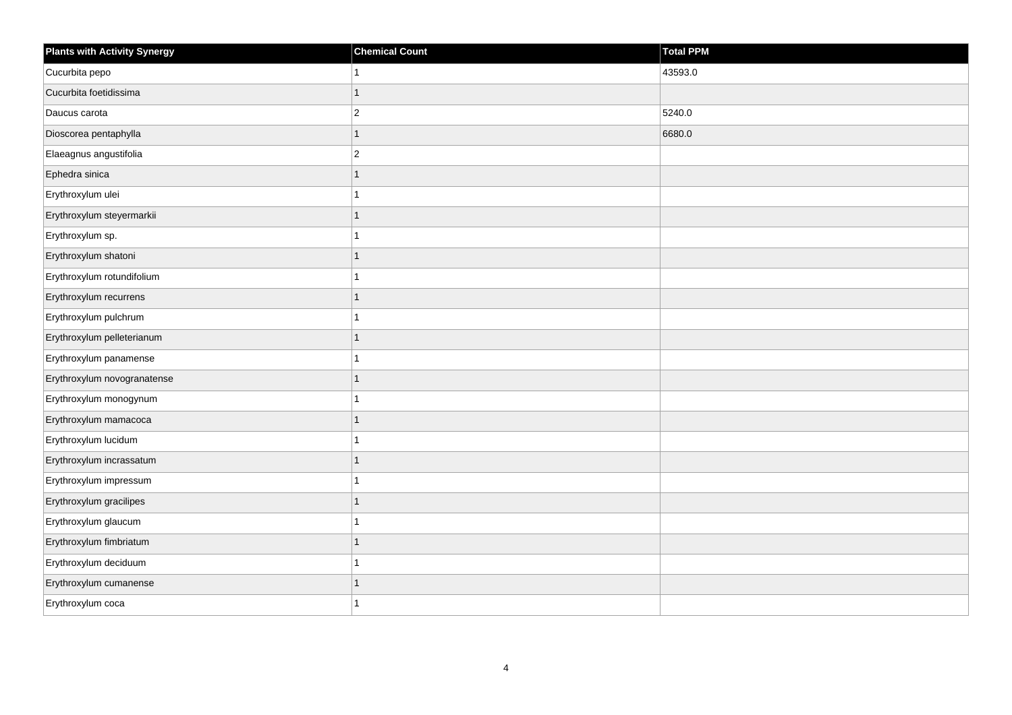| <b>Plants with Activity Synergy</b> | <b>Chemical Count</b>   | <b>Total PPM</b> |
|-------------------------------------|-------------------------|------------------|
| Cucurbita pepo                      |                         | 43593.0          |
| Cucurbita foetidissima              | 1                       |                  |
| Daucus carota                       | $\overline{\mathbf{c}}$ | 5240.0           |
| Dioscorea pentaphylla               | $\mathbf{1}$            | 6680.0           |
| Elaeagnus angustifolia              | $\overline{2}$          |                  |
| Ephedra sinica                      | 1                       |                  |
| Erythroxylum ulei                   | 1                       |                  |
| Erythroxylum steyermarkii           | 1                       |                  |
| Erythroxylum sp.                    | 1                       |                  |
| Erythroxylum shatoni                | $\mathbf{1}$            |                  |
| Erythroxylum rotundifolium          |                         |                  |
| Erythroxylum recurrens              | $\overline{1}$          |                  |
| Erythroxylum pulchrum               | 1                       |                  |
| Erythroxylum pelleterianum          | $\overline{1}$          |                  |
| Erythroxylum panamense              | 1                       |                  |
| Erythroxylum novogranatense         | 1                       |                  |
| Erythroxylum monogynum              |                         |                  |
| Erythroxylum mamacoca               | $\overline{1}$          |                  |
| Erythroxylum lucidum                | 1                       |                  |
| Erythroxylum incrassatum            | 1                       |                  |
| Erythroxylum impressum              |                         |                  |
| Erythroxylum gracilipes             | $\overline{1}$          |                  |
| Erythroxylum glaucum                |                         |                  |
| Erythroxylum fimbriatum             | 1                       |                  |
| Erythroxylum deciduum               | 1                       |                  |
| Erythroxylum cumanense              | 1                       |                  |
| Erythroxylum coca                   |                         |                  |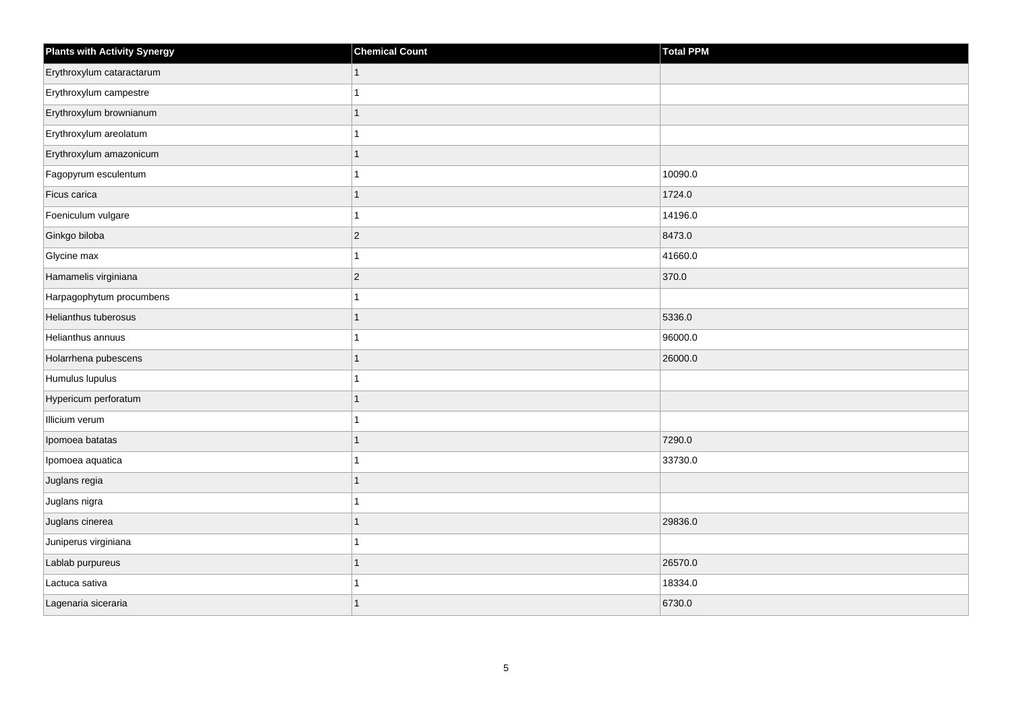| <b>Plants with Activity Synergy</b> | <b>Chemical Count</b> | Total PPM |
|-------------------------------------|-----------------------|-----------|
| Erythroxylum cataractarum           |                       |           |
| Erythroxylum campestre              |                       |           |
| Erythroxylum brownianum             |                       |           |
| Erythroxylum areolatum              |                       |           |
| Erythroxylum amazonicum             |                       |           |
| Fagopyrum esculentum                |                       | 10090.0   |
| Ficus carica                        |                       | 1724.0    |
| Foeniculum vulgare                  |                       | 14196.0   |
| Ginkgo biloba                       | $\overline{2}$        | 8473.0    |
| Glycine max                         |                       | 41660.0   |
| Hamamelis virginiana                | $\overline{2}$        | 370.0     |
| Harpagophytum procumbens            |                       |           |
| Helianthus tuberosus                | 1                     | 5336.0    |
| Helianthus annuus                   |                       | 96000.0   |
| Holarrhena pubescens                |                       | 26000.0   |
| Humulus lupulus                     |                       |           |
| Hypericum perforatum                |                       |           |
| Illicium verum                      |                       |           |
| Ipomoea batatas                     | 1                     | 7290.0    |
| Ipomoea aquatica                    |                       | 33730.0   |
| Juglans regia                       |                       |           |
| Juglans nigra                       |                       |           |
| Juglans cinerea                     |                       | 29836.0   |
| Juniperus virginiana                |                       |           |
| Lablab purpureus                    | 1                     | 26570.0   |
| Lactuca sativa                      |                       | 18334.0   |
| Lagenaria siceraria                 |                       | 6730.0    |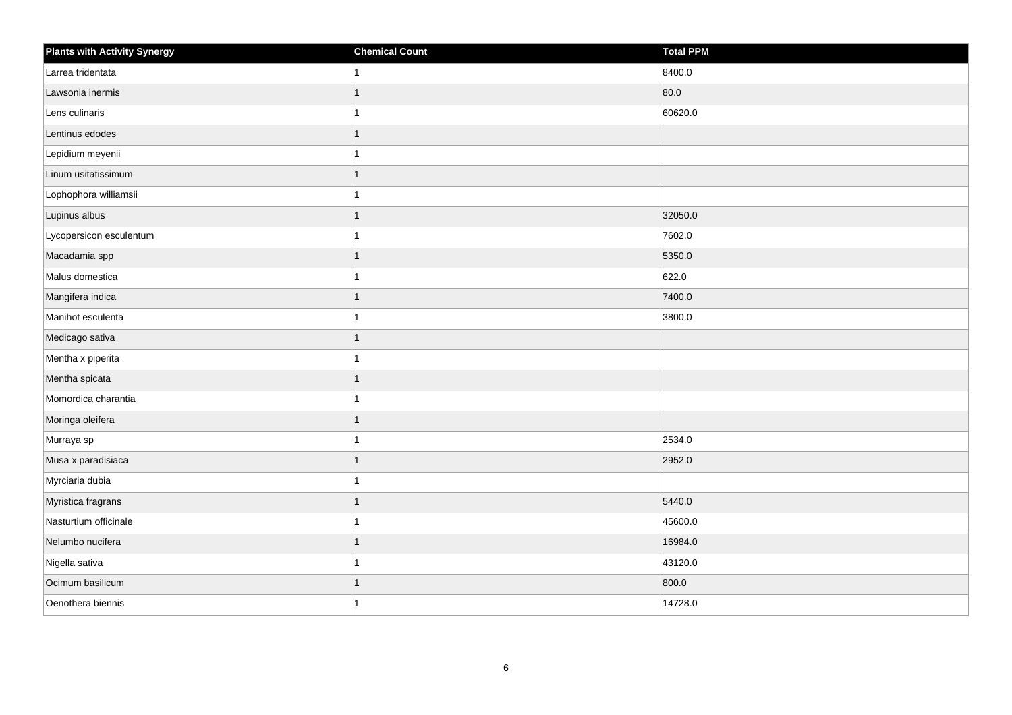| <b>Plants with Activity Synergy</b> | <b>Chemical Count</b> | Total PPM |
|-------------------------------------|-----------------------|-----------|
| Larrea tridentata                   | 1                     | 8400.0    |
| Lawsonia inermis                    | 1                     | 80.0      |
| Lens culinaris                      | 1                     | 60620.0   |
| Lentinus edodes                     | $\mathbf{1}$          |           |
| Lepidium meyenii                    | 1                     |           |
| Linum usitatissimum                 | $\mathbf{1}$          |           |
| Lophophora williamsii               | 1                     |           |
| Lupinus albus                       | 1                     | 32050.0   |
| Lycopersicon esculentum             | 1                     | 7602.0    |
| Macadamia spp                       | $\mathbf{1}$          | 5350.0    |
| Malus domestica                     | 1                     | 622.0     |
| Mangifera indica                    | $\mathbf{1}$          | 7400.0    |
| Manihot esculenta                   | $\overline{1}$        | 3800.0    |
| Medicago sativa                     | $\mathbf{1}$          |           |
| Mentha x piperita                   | 1                     |           |
| Mentha spicata                      | $\mathbf{1}$          |           |
| Momordica charantia                 | 1                     |           |
| Moringa oleifera                    | 1                     |           |
| Murraya sp                          | $\mathbf{1}$          | 2534.0    |
| Musa x paradisiaca                  | 1                     | 2952.0    |
| Myrciaria dubia                     | 1                     |           |
| Myristica fragrans                  | 1                     | 5440.0    |
| Nasturtium officinale               | 1                     | 45600.0   |
| Nelumbo nucifera                    | 1                     | 16984.0   |
| Nigella sativa                      | 1                     | 43120.0   |
| Ocimum basilicum                    | 1                     | 800.0     |
| Oenothera biennis                   | 1                     | 14728.0   |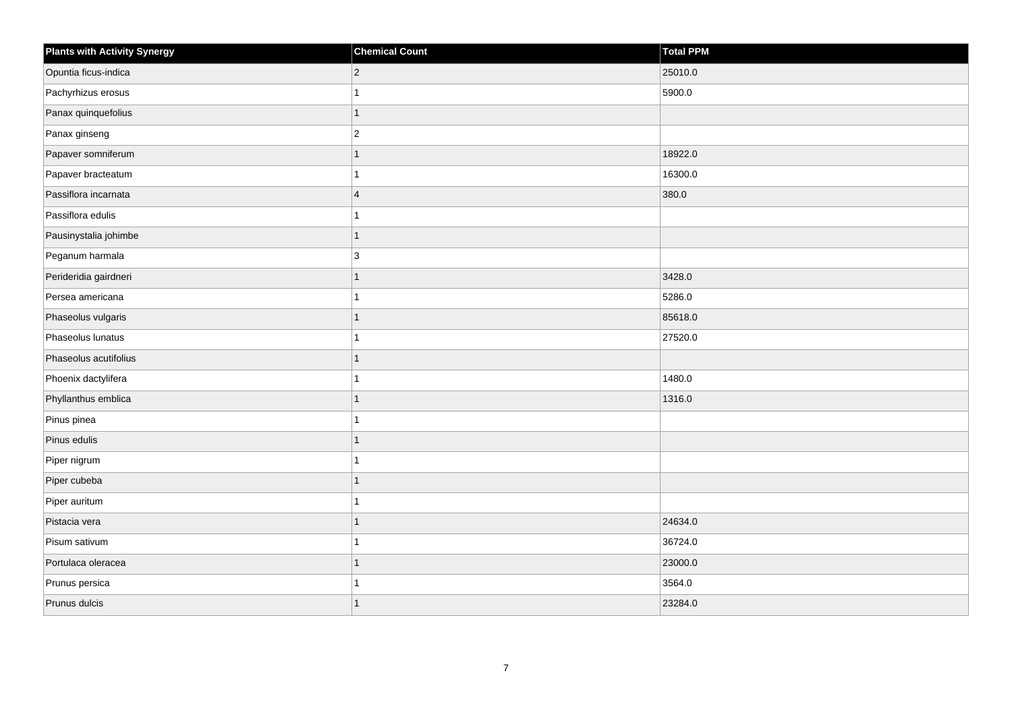| <b>Plants with Activity Synergy</b> | <b>Chemical Count</b> | Total PPM |
|-------------------------------------|-----------------------|-----------|
| Opuntia ficus-indica                | $\overline{2}$        | 25010.0   |
| Pachyrhizus erosus                  | 1                     | 5900.0    |
| Panax quinquefolius                 | $\overline{1}$        |           |
| Panax ginseng                       | $\overline{c}$        |           |
| Papaver somniferum                  | $\overline{1}$        | 18922.0   |
| Papaver bracteatum                  | 1                     | 16300.0   |
| Passiflora incarnata                | $\overline{4}$        | 380.0     |
| Passiflora edulis                   | 1                     |           |
| Pausinystalia johimbe               | $\overline{1}$        |           |
| Peganum harmala                     | 3                     |           |
| Perideridia gairdneri               | $\overline{1}$        | 3428.0    |
| Persea americana                    |                       | 5286.0    |
| Phaseolus vulgaris                  | $\overline{1}$        | 85618.0   |
| Phaseolus lunatus                   | 1                     | 27520.0   |
| Phaseolus acutifolius               | 1                     |           |
| Phoenix dactylifera                 | 1                     | 1480.0    |
| Phyllanthus emblica                 | 1                     | 1316.0    |
| Pinus pinea                         |                       |           |
| Pinus edulis                        | $\mathbf{1}$          |           |
| Piper nigrum                        |                       |           |
| Piper cubeba                        | 1                     |           |
| Piper auritum                       | $\overline{1}$        |           |
| Pistacia vera                       | 1                     | 24634.0   |
| Pisum sativum                       |                       | 36724.0   |
| Portulaca oleracea                  | $\overline{1}$        | 23000.0   |
| Prunus persica                      |                       | 3564.0    |
| Prunus dulcis                       | 1                     | 23284.0   |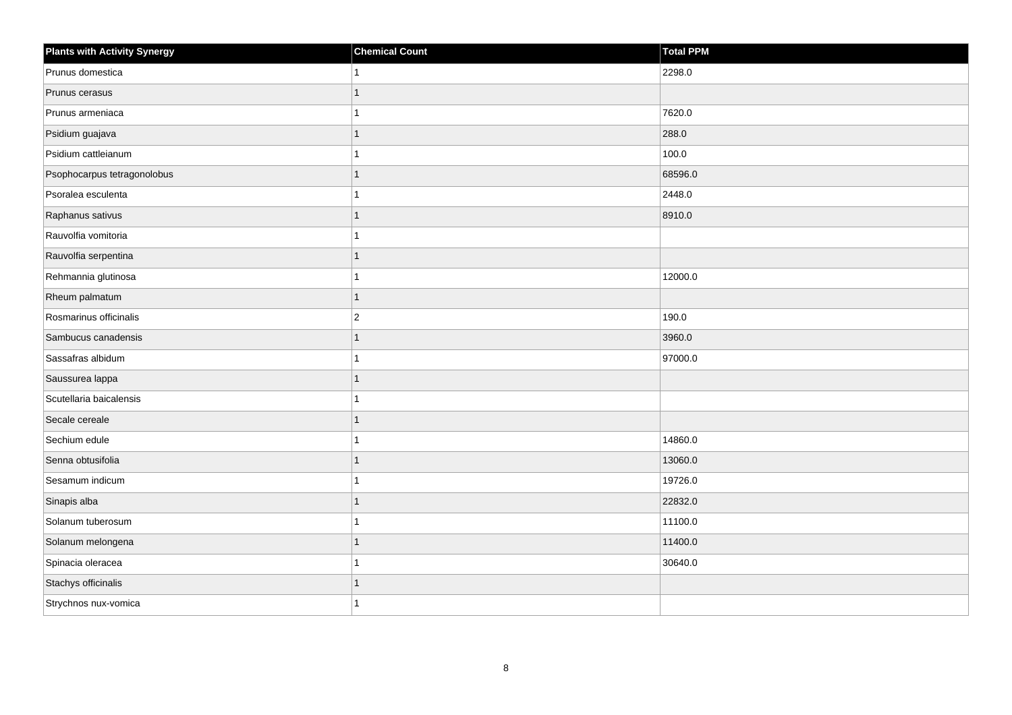| <b>Plants with Activity Synergy</b> | <b>Chemical Count</b> | Total PPM |
|-------------------------------------|-----------------------|-----------|
| Prunus domestica                    |                       | 2298.0    |
| Prunus cerasus                      |                       |           |
| Prunus armeniaca                    |                       | 7620.0    |
| Psidium guajava                     |                       | 288.0     |
| Psidium cattleianum                 |                       | 100.0     |
| Psophocarpus tetragonolobus         |                       | 68596.0   |
| Psoralea esculenta                  |                       | 2448.0    |
| Raphanus sativus                    |                       | 8910.0    |
| Rauvolfia vomitoria                 |                       |           |
| Rauvolfia serpentina                |                       |           |
| Rehmannia glutinosa                 |                       | 12000.0   |
| Rheum palmatum                      |                       |           |
| Rosmarinus officinalis              | $\overline{2}$        | 190.0     |
| Sambucus canadensis                 |                       | 3960.0    |
| Sassafras albidum                   |                       | 97000.0   |
| Saussurea lappa                     | 1                     |           |
| Scutellaria baicalensis             |                       |           |
| Secale cereale                      |                       |           |
| Sechium edule                       |                       | 14860.0   |
| Senna obtusifolia                   |                       | 13060.0   |
| Sesamum indicum                     |                       | 19726.0   |
| Sinapis alba                        | 1                     | 22832.0   |
| Solanum tuberosum                   |                       | 11100.0   |
| Solanum melongena                   |                       | 11400.0   |
| Spinacia oleracea                   |                       | 30640.0   |
| Stachys officinalis                 |                       |           |
| Strychnos nux-vomica                |                       |           |